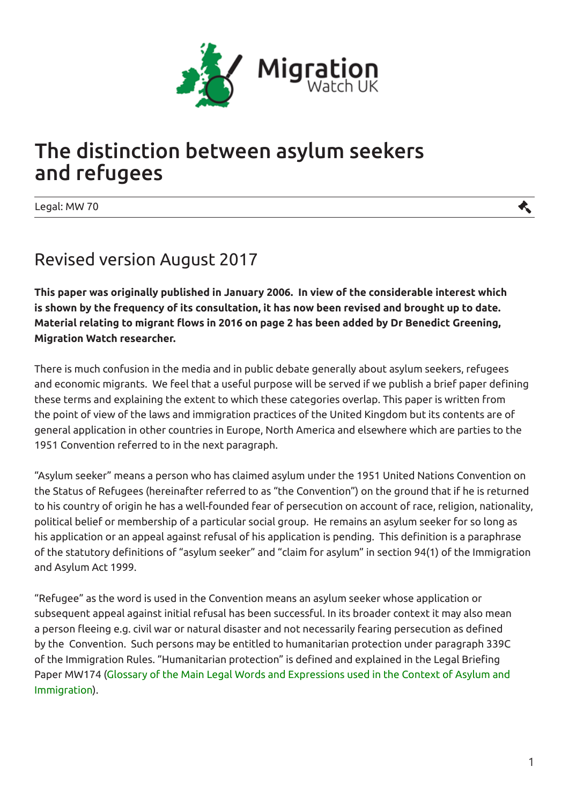

## The distinction between asylum seekers and refugees

Legal: MW 70

## Revised version August 2017

**This paper was originally published in January 2006. In view of the considerable interest which is shown by the frequency of its consultation, it has now been revised and brought up to date. Material relating to migrant flows in 2016 on page 2 has been added by Dr Benedict Greening, Migration Watch researcher.**

There is much confusion in the media and in public debate generally about asylum seekers, refugees and economic migrants. We feel that a useful purpose will be served if we publish a brief paper defining these terms and explaining the extent to which these categories overlap. This paper is written from the point of view of the laws and immigration practices of the United Kingdom but its contents are of general application in other countries in Europe, North America and elsewhere which are parties to the 1951 Convention referred to in the next paragraph.

"Asylum seeker" means a person who has claimed asylum under the 1951 United Nations Convention on the Status of Refugees (hereinafter referred to as "the Convention") on the ground that if he is returned to his country of origin he has a well-founded fear of persecution on account of race, religion, nationality, political belief or membership of a particular social group. He remains an asylum seeker for so long as his application or an appeal against refusal of his application is pending. This definition is a paraphrase of the statutory definitions of "asylum seeker" and "claim for asylum" in section 94(1) of the Immigration and Asylum Act 1999.

"Refugee" as the word is used in the Convention means an asylum seeker whose application or subsequent appeal against initial refusal has been successful. In its broader context it may also mean a person fleeing e.g. civil war or natural disaster and not necessarily fearing persecution as defined by the Convention. Such persons may be entitled to humanitarian protection under paragraph 339C of the Immigration Rules. "Humanitarian protection" is defined and explained in the Legal Briefing Paper MW174 (Glossary of the Main Legal Words and Expressions used in the Context of Asylum and Immigration).

大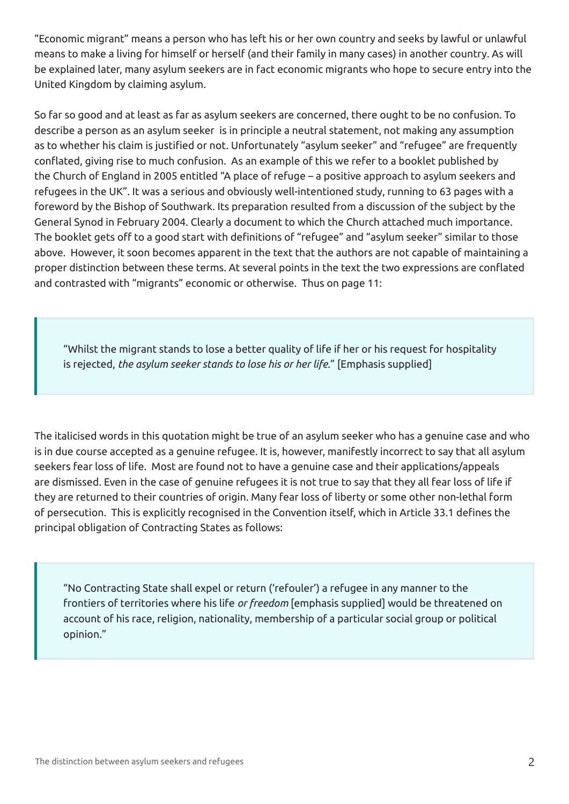"Economic migrant" means a person who has left his or her own country and seeks by lawful or unlawful means to make a living for himself or herself (and their family in many cases) in another country. As will be explained later, many asylum seekers are in fact economic migrants who hope to secure entry into the United Kingdom by claiming asylum.

So far so good and at least as far as asylum seekers are concerned, there ought to be no confusion. To describe a person as an asylum seeker is in principle a neutral statement, not making any assumption as to whether his claim is justified or not. Unfortunately "asylum seeker" and "refugee" are frequently conflated, giving rise to much confusion. As an example of this we refer to a booklet published by the Church of England in 2005 entitled "A place of refuge – a positive approach to asylum seekers and refugees in the UK". It was a serious and obviously well-intentioned study, running to 63 pages with a foreword by the Bishop of Southwark. Its preparation resulted from a discussion of the subject by the General Synod in February 2004. Clearly a document to which the Church attached much importance. The booklet gets off to a good start with definitions of "refugee" and "asylum seeker" similar to those above. However, it soon becomes apparent in the text that the authors are not capable of maintaining a proper distinction between these terms. At several points in the text the two expressions are conflated and contrasted with "migrants" economic or otherwise. Thus on page 11:

"Whilst the migrant stands to lose a better quality of life if her or his request for hospitality is rejected, *the asylum seeker stands to lose his or her life.*" [Emphasis supplied]

The italicised words in this quotation might be true of an asylum seeker who has a genuine case and who is in due course accepted as a genuine refugee. It is, however, manifestly incorrect to say that all asylum seekers fear loss of life. Most are found not to have a genuine case and their applications/appeals are dismissed. Even in the case of genuine refugees it is not true to say that they all fear loss of life if they are returned to their countries of origin. Many fear loss of liberty or some other non-lethal form of persecution. This is explicitly recognised in the Convention itself, which in Article 33.1 defines the principal obligation of Contracting States as follows:

"No Contracting State shall expel or return ('refouler') a refugee in any manner to the frontiers of territories where his life *or freedom* [emphasis supplied] would be threatened on account of his race, religion, nationality, membership of a particular social group or political opinion."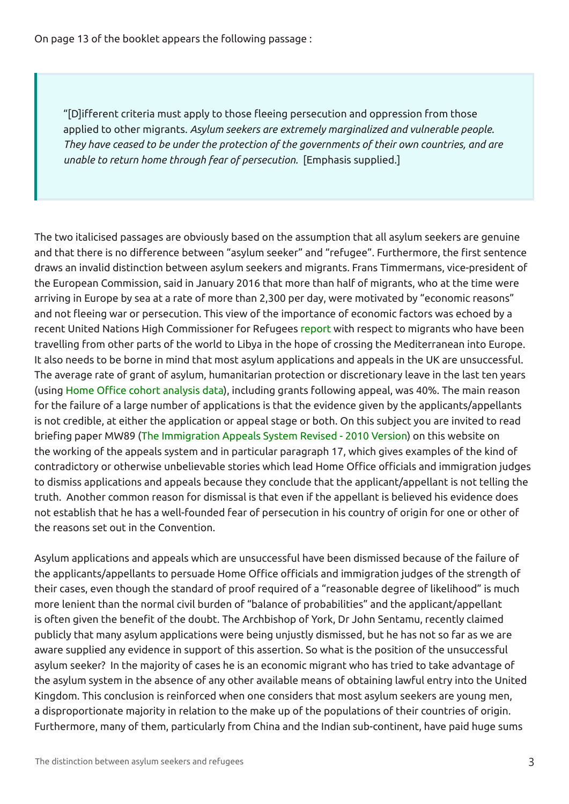On page 13 of the booklet appears the following passage :

"[D]ifferent criteria must apply to those fleeing persecution and oppression from those applied to other migrants. *Asylum seekers are extremely marginalized and vulnerable people. They have ceased to be under the protection of the governments of their own countries, and are unable to return home through fear of persecution.* [Emphasis supplied.]

The two italicised passages are obviously based on the assumption that all asylum seekers are genuine and that there is no difference between "asylum seeker" and "refugee". Furthermore, the first sentence draws an invalid distinction between asylum seekers and migrants. Frans Timmermans, vice-president of the European Commission, said in January 2016 that more than half of migrants, who at the time were arriving in Europe by sea at a rate of more than 2,300 per day, were motivated by "economic reasons" and not fleeing war or persecution. This view of the importance of economic factors was echoed by a recent United Nations High Commissioner for Refugees report with respect to migrants who have been travelling from other parts of the world to Libya in the hope of crossing the Mediterranean into Europe. It also needs to be borne in mind that most asylum applications and appeals in the UK are unsuccessful. The average rate of grant of asylum, humanitarian protection or discretionary leave in the last ten years (using Home Office cohort analysis data), including grants following appeal, was 40%. The main reason for the failure of a large number of applications is that the evidence given by the applicants/appellants is not credible, at either the application or appeal stage or both. On this subject you are invited to read briefing paper MW89 (The Immigration Appeals System Revised - 2010 Version) on this website on the working of the appeals system and in particular paragraph 17, which gives examples of the kind of contradictory or otherwise unbelievable stories which lead Home Office officials and immigration judges to dismiss applications and appeals because they conclude that the applicant/appellant is not telling the truth. Another common reason for dismissal is that even if the appellant is believed his evidence does not establish that he has a well-founded fear of persecution in his country of origin for one or other of the reasons set out in the Convention.

Asylum applications and appeals which are unsuccessful have been dismissed because of the failure of the applicants/appellants to persuade Home Office officials and immigration judges of the strength of their cases, even though the standard of proof required of a "reasonable degree of likelihood" is much more lenient than the normal civil burden of "balance of probabilities" and the applicant/appellant is often given the benefit of the doubt. The Archbishop of York, Dr John Sentamu, recently claimed publicly that many asylum applications were being unjustly dismissed, but he has not so far as we are aware supplied any evidence in support of this assertion. So what is the position of the unsuccessful asylum seeker? In the majority of cases he is an economic migrant who has tried to take advantage of the asylum system in the absence of any other available means of obtaining lawful entry into the United Kingdom. This conclusion is reinforced when one considers that most asylum seekers are young men, a disproportionate majority in relation to the make up of the populations of their countries of origin. Furthermore, many of them, particularly from China and the Indian sub-continent, have paid huge sums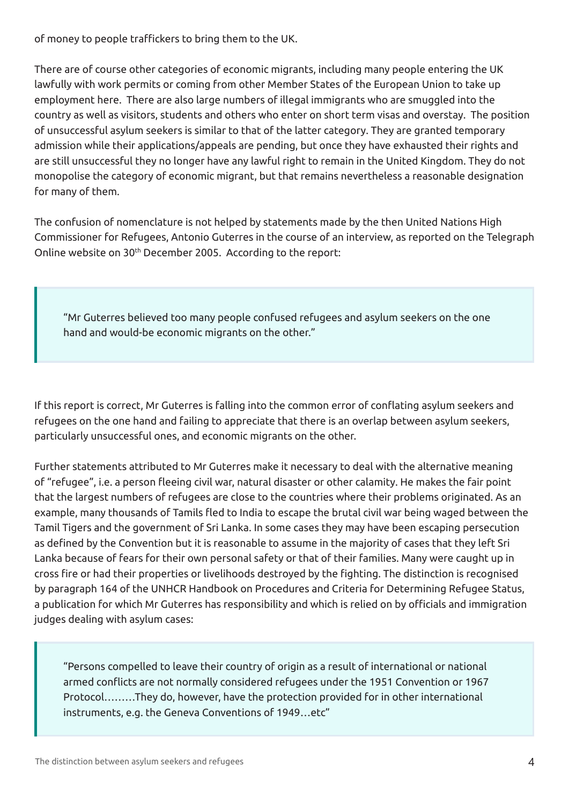of money to people traffickers to bring them to the UK.

There are of course other categories of economic migrants, including many people entering the UK lawfully with work permits or coming from other Member States of the European Union to take up employment here. There are also large numbers of illegal immigrants who are smuggled into the country as well as visitors, students and others who enter on short term visas and overstay. The position of unsuccessful asylum seekers is similar to that of the latter category. They are granted temporary admission while their applications/appeals are pending, but once they have exhausted their rights and are still unsuccessful they no longer have any lawful right to remain in the United Kingdom. They do not monopolise the category of economic migrant, but that remains nevertheless a reasonable designation for many of them.

The confusion of nomenclature is not helped by statements made by the then United Nations High Commissioner for Refugees, Antonio Guterres in the course of an interview, as reported on the Telegraph Online website on 30<sup>th</sup> December 2005. According to the report:

"Mr Guterres believed too many people confused refugees and asylum seekers on the one hand and would-be economic migrants on the other."

If this report is correct, Mr Guterres is falling into the common error of conflating asylum seekers and refugees on the one hand and failing to appreciate that there is an overlap between asylum seekers, particularly unsuccessful ones, and economic migrants on the other.

Further statements attributed to Mr Guterres make it necessary to deal with the alternative meaning of "refugee", i.e. a person fleeing civil war, natural disaster or other calamity. He makes the fair point that the largest numbers of refugees are close to the countries where their problems originated. As an example, many thousands of Tamils fled to India to escape the brutal civil war being waged between the Tamil Tigers and the government of Sri Lanka. In some cases they may have been escaping persecution as defined by the Convention but it is reasonable to assume in the majority of cases that they left Sri Lanka because of fears for their own personal safety or that of their families. Many were caught up in cross fire or had their properties or livelihoods destroyed by the fighting. The distinction is recognised by paragraph 164 of the UNHCR Handbook on Procedures and Criteria for Determining Refugee Status, a publication for which Mr Guterres has responsibility and which is relied on by officials and immigration judges dealing with asylum cases:

"Persons compelled to leave their country of origin as a result of international or national armed conflicts are not normally considered refugees under the 1951 Convention or 1967 Protocol………They do, however, have the protection provided for in other international instruments, e.g. the Geneva Conventions of 1949…etc"